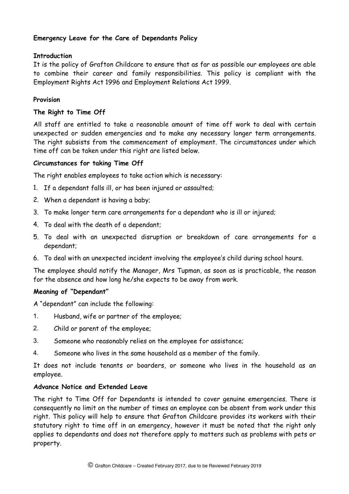# **Emergency Leave for the Care of Dependants Policy**

# **Introduction**

It is the policy of Grafton Childcare to ensure that as far as possible our employees are able to combine their career and family responsibilities. This policy is compliant with the Employment Rights Act 1996 and Employment Relations Act 1999.

# **Provision**

### **The Right to Time Off**

All staff are entitled to take a reasonable amount of time off work to deal with certain unexpected or sudden emergencies and to make any necessary longer term arrangements. The right subsists from the commencement of employment. The circumstances under which time off can be taken under this right are listed below.

### **Circumstances for taking Time Off**

The right enables employees to take action which is necessary:

- 1. If a dependant falls ill, or has been injured or assaulted;
- 2. When a dependant is having a baby;
- 3. To make longer term care arrangements for a dependant who is ill or injured;
- 4. To deal with the death of a dependant;
- 5. To deal with an unexpected disruption or breakdown of care arrangements for a dependant;
- 6. To deal with an unexpected incident involving the employee's child during school hours.

The employee should notify the Manager, Mrs Tupman, as soon as is practicable, the reason for the absence and how long he/she expects to be away from work.

#### **Meaning of "Dependant"**

A "dependant" can include the following:

- 1. Husband, wife or partner of the employee;
- 2. Child or parent of the employee;
- 3. Someone who reasonably relies on the employee for assistance;
- 4. Someone who lives in the same household as a member of the family.

It does not include tenants or boarders, or someone who lives in the household as an employee.

### **Advance Notice and Extended Leave**

The right to Time Off for Dependants is intended to cover genuine emergencies. There is consequently no limit on the number of times an employee can be absent from work under this right. This policy will help to ensure that Grafton Childcare provides its workers with their statutory right to time off in an emergency, however it must be noted that the right only applies to dependants and does not therefore apply to matters such as problems with pets or property.